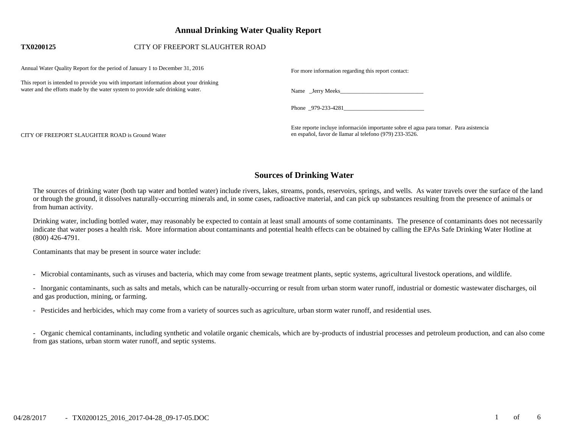# **Annual Drinking Water Quality Report**

## **TX0200125** CITY OF FREEPORT SLAUGHTER ROAD

| Annual Water Ouality Report for the period of January 1 to December 31, 2016                                                                                            | For more information regarding this report contact:                                                                                              |
|-------------------------------------------------------------------------------------------------------------------------------------------------------------------------|--------------------------------------------------------------------------------------------------------------------------------------------------|
| This report is intended to provide you with important information about your drinking<br>water and the efforts made by the water system to provide safe drinking water. |                                                                                                                                                  |
|                                                                                                                                                                         | Phone 979-233-4281                                                                                                                               |
| CITY OF FREEPORT SLAUGHTER ROAD is Ground Water                                                                                                                         | Este reporte incluye información importante sobre el agua para tomar. Para asistencia<br>en español, favor de llamar al telefono (979) 233-3526. |

# **Sources of Drinking Water**

The sources of drinking water (both tap water and bottled water) include rivers, lakes, streams, ponds, reservoirs, springs, and wells. As water travels over the surface of the land or through the ground, it dissolves naturally-occurring minerals and, in some cases, radioactive material, and can pick up substances resulting from the presence of animals or from human activity.

Drinking water, including bottled water, may reasonably be expected to contain at least small amounts of some contaminants. The presence of contaminants does not necessarily indicate that water poses a health risk. More information about contaminants and potential health effects can be obtained by calling the EPAs Safe Drinking Water Hotline at (800) 426-4791.

Contaminants that may be present in source water include:

- Microbial contaminants, such as viruses and bacteria, which may come from sewage treatment plants, septic systems, agricultural livestock operations, and wildlife.

- Inorganic contaminants, such as salts and metals, which can be naturally-occurring or result from urban storm water runoff, industrial or domestic wastewater discharges, oil and gas production, mining, or farming.

- Pesticides and herbicides, which may come from a variety of sources such as agriculture, urban storm water runoff, and residential uses.

- Organic chemical contaminants, including synthetic and volatile organic chemicals, which are by-products of industrial processes and petroleum production, and can also come from gas stations, urban storm water runoff, and septic systems.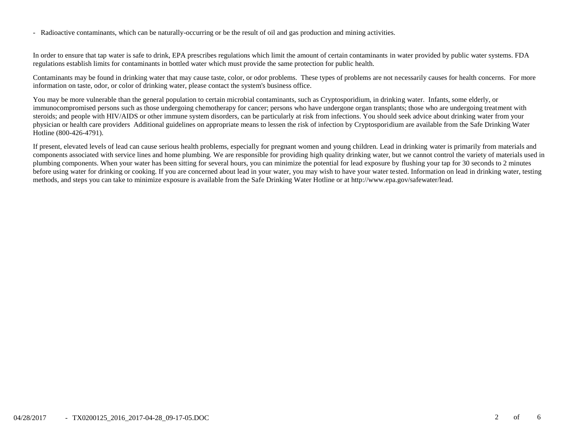- Radioactive contaminants, which can be naturally-occurring or be the result of oil and gas production and mining activities.

In order to ensure that tap water is safe to drink, EPA prescribes regulations which limit the amount of certain contaminants in water provided by public water systems. FDA regulations establish limits for contaminants in bottled water which must provide the same protection for public health.

Contaminants may be found in drinking water that may cause taste, color, or odor problems. These types of problems are not necessarily causes for health concerns. For more information on taste, odor, or color of drinking water, please contact the system's business office.

You may be more vulnerable than the general population to certain microbial contaminants, such as Cryptosporidium, in drinking water. Infants, some elderly, or immunocompromised persons such as those undergoing chemotherapy for cancer; persons who have undergone organ transplants; those who are undergoing treatment with steroids; and people with HIV/AIDS or other immune system disorders, can be particularly at risk from infections. You should seek advice about drinking water from your physician or health care providers Additional guidelines on appropriate means to lessen the risk of infection by Cryptosporidium are available from the Safe Drinking Water Hotline (800-426-4791).

If present, elevated levels of lead can cause serious health problems, especially for pregnant women and young children. Lead in drinking water is primarily from materials and components associated with service lines and home plumbing. We are responsible for providing high quality drinking water, but we cannot control the variety of materials used in plumbing components. When your water has been sitting for several hours, you can minimize the potential for lead exposure by flushing your tap for 30 seconds to 2 minutes before using water for drinking or cooking. If you are concerned about lead in your water, you may wish to have your water tested. Information on lead in drinking water, testing methods, and steps you can take to minimize exposure is available from the Safe Drinking Water Hotline or at http://www.epa.gov/safewater/lead.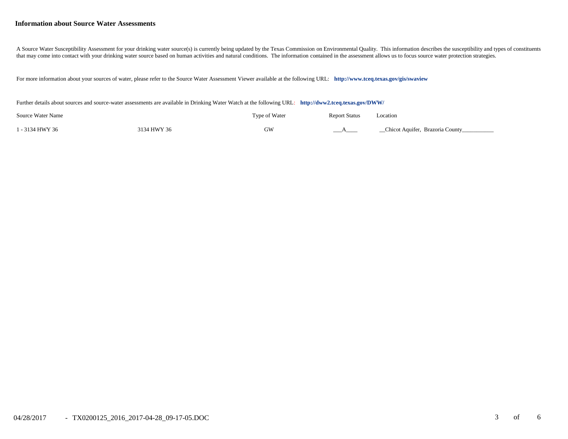#### **Information about Source Water Assessments**

A Source Water Susceptibility Assessment for your drinking water source(s) is currently being updated by the Texas Commission on Environmental Quality. This information describes the susceptibility and types of constituent that may come into contact with your drinking water source based on human activities and natural conditions. The information contained in the assessment allows us to focus source water protection strategies.

For more information about your sources of water, please refer to the Source Water Assessment Viewer available at the following URL: **<http://www.tceq.texas.gov/gis/swaview>**

Further details about sources and source-water assessments are available in Drinking Water Watch at the following URL: **<http://dww2.tceq.texas.gov/DWW/>**

| Source Water Name |             | Type of Water | <b>Report Status</b> | Location                        |
|-------------------|-------------|---------------|----------------------|---------------------------------|
| 1 - 3134 HWY 36   | 3134 HWY 36 | GW            |                      | Chicot Aquifer, Brazoria County |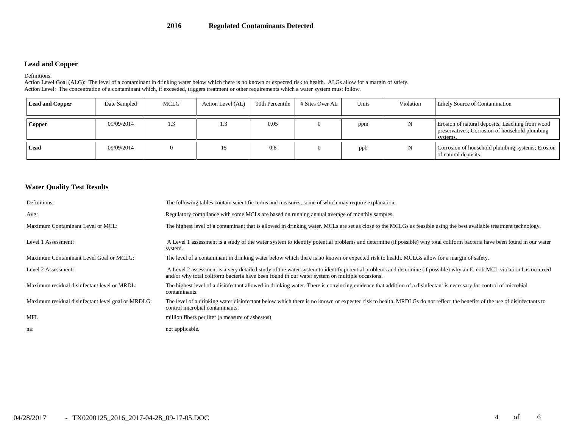## **Lead and Copper**

Definitions:

Action Level Goal (ALG): The level of a contaminant in drinking water below which there is no known or expected risk to health. ALGs allow for a margin of safety. Action Level: The concentration of a contaminant which, if exceeded, triggers treatment or other requirements which a water system must follow.

| <b>Lead and Copper</b> | Date Sampled | MCLG | Action Level (AL) | 90th Percentile | # Sites Over AL | Units | Violation | <b>Likely Source of Contamination</b>                                                                         |
|------------------------|--------------|------|-------------------|-----------------|-----------------|-------|-----------|---------------------------------------------------------------------------------------------------------------|
| Copper                 | 09/09/2014   | 1.3  | 1.3               | 0.05            |                 | ppm   |           | Erosion of natural deposits; Leaching from wood<br>preservatives; Corrosion of household plumbing<br>systems. |
| Lead                   | 09/09/2014   |      |                   | 0.6             |                 | ppb   |           | Corrosion of household plumbing systems; Erosion<br>of natural deposits.                                      |

#### **Water Quality Test Results**

| Definitions:                                       | The following tables contain scientific terms and measures, some of which may require explanation.                                                                                                                                                                      |
|----------------------------------------------------|-------------------------------------------------------------------------------------------------------------------------------------------------------------------------------------------------------------------------------------------------------------------------|
| Avg:                                               | Regulatory compliance with some MCLs are based on running annual average of monthly samples.                                                                                                                                                                            |
| Maximum Contaminant Level or MCL:                  | The highest level of a contaminant that is allowed in drinking water. MCLs are set as close to the MCLGs as feasible using the best available treatment technology.                                                                                                     |
| Level 1 Assessment:                                | A Level 1 assessment is a study of the water system to identify potential problems and determine (if possible) why total coliform bacteria have been found in our water<br>system.                                                                                      |
| Maximum Contaminant Level Goal or MCLG:            | The level of a contaminant in drinking water below which there is no known or expected risk to health. MCLGs allow for a margin of safety.                                                                                                                              |
| Level 2 Assessment:                                | A Level 2 assessment is a very detailed study of the water system to identify potential problems and determine (if possible) why an E. coli MCL violation has occurred<br>and/or why total coliform bacteria have been found in our water system on multiple occasions. |
| Maximum residual disinfectant level or MRDL:       | The highest level of a disinfectant allowed in drinking water. There is convincing evidence that addition of a disinfectant is necessary for control of microbial<br>contaminants.                                                                                      |
| Maximum residual disinfectant level goal or MRDLG: | The level of a drinking water disinfectant below which there is no known or expected risk to health. MRDLGs do not reflect the benefits of the use of disinfectants to<br>control microbial contaminants.                                                               |
| <b>MFL</b>                                         | million fibers per liter (a measure of asbestos)                                                                                                                                                                                                                        |
| na:                                                | not applicable.                                                                                                                                                                                                                                                         |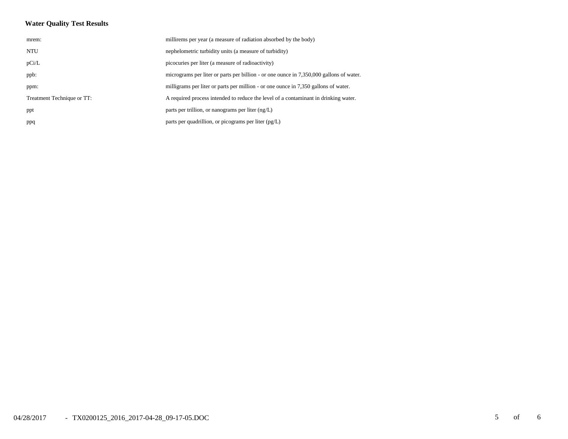## **Water Quality Test Results**

| mrem:                      | millirems per year (a measure of radiation absorbed by the body)                        |
|----------------------------|-----------------------------------------------------------------------------------------|
| <b>NTU</b>                 | nephelometric turbidity units (a measure of turbidity)                                  |
| pCi/L                      | picocuries per liter (a measure of radioactivity)                                       |
| ppb:                       | micrograms per liter or parts per billion - or one ounce in 7,350,000 gallons of water. |
| ppm:                       | milligrams per liter or parts per million - or one ounce in 7,350 gallons of water.     |
| Treatment Technique or TT: | A required process intended to reduce the level of a contaminant in drinking water.     |
| ppt                        | parts per trillion, or nanograms per liter $(ng/L)$                                     |
| ppq                        | parts per quadrillion, or picograms per liter $(pg/L)$                                  |